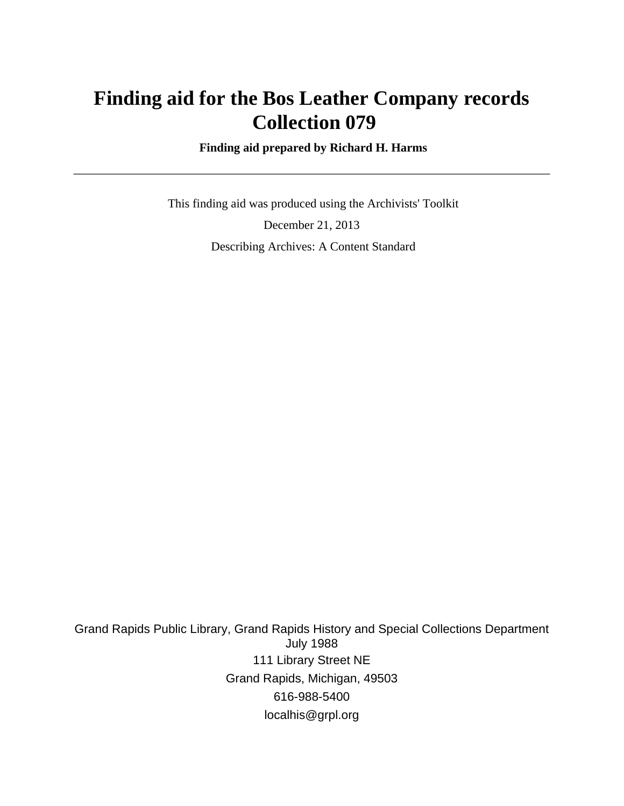# **Finding aid for the Bos Leather Company records Collection 079**

 **Finding aid prepared by Richard H. Harms**

 This finding aid was produced using the Archivists' Toolkit December 21, 2013 Describing Archives: A Content Standard

Grand Rapids Public Library, Grand Rapids History and Special Collections Department July 1988 111 Library Street NE Grand Rapids, Michigan, 49503 616-988-5400 localhis@grpl.org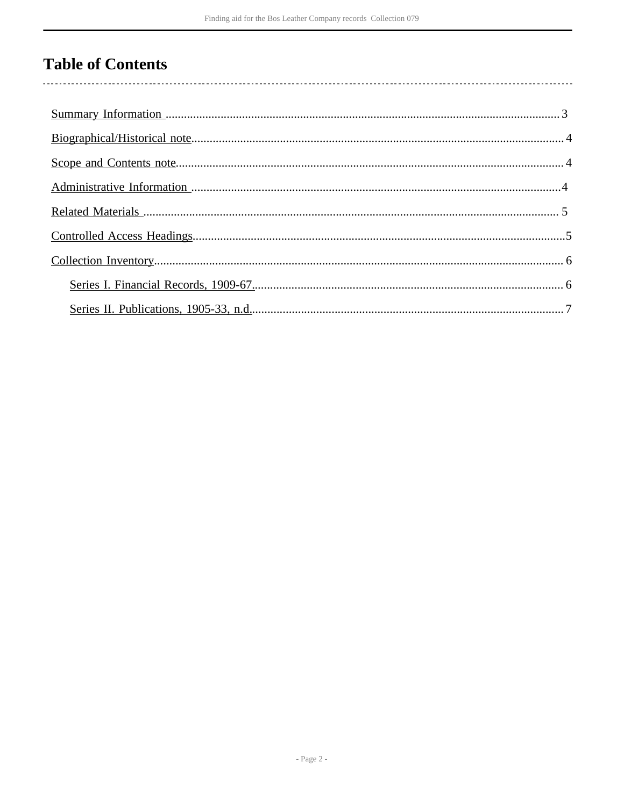# **Table of Contents**

 $\overline{\phantom{a}}$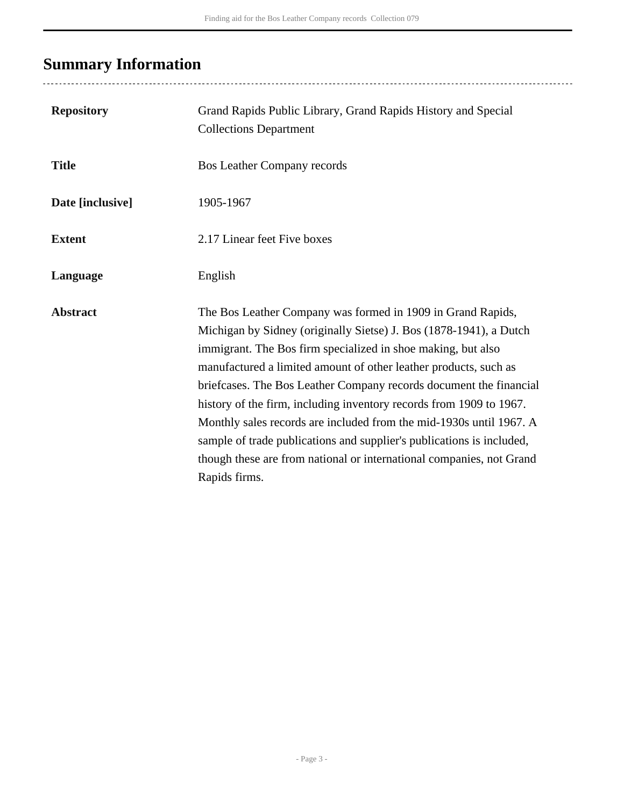# <span id="page-2-0"></span>**Summary Information**

...................................

| <b>Repository</b> | Grand Rapids Public Library, Grand Rapids History and Special<br><b>Collections Department</b>                                                                                                                                                                                                                                                                                                                                                                                                                                                                                                                                                              |
|-------------------|-------------------------------------------------------------------------------------------------------------------------------------------------------------------------------------------------------------------------------------------------------------------------------------------------------------------------------------------------------------------------------------------------------------------------------------------------------------------------------------------------------------------------------------------------------------------------------------------------------------------------------------------------------------|
| <b>Title</b>      | <b>Bos Leather Company records</b>                                                                                                                                                                                                                                                                                                                                                                                                                                                                                                                                                                                                                          |
| Date [inclusive]  | 1905-1967                                                                                                                                                                                                                                                                                                                                                                                                                                                                                                                                                                                                                                                   |
| <b>Extent</b>     | 2.17 Linear feet Five boxes                                                                                                                                                                                                                                                                                                                                                                                                                                                                                                                                                                                                                                 |
| Language          | English                                                                                                                                                                                                                                                                                                                                                                                                                                                                                                                                                                                                                                                     |
| <b>Abstract</b>   | The Bos Leather Company was formed in 1909 in Grand Rapids,<br>Michigan by Sidney (originally Sietse) J. Bos (1878-1941), a Dutch<br>immigrant. The Bos firm specialized in shoe making, but also<br>manufactured a limited amount of other leather products, such as<br>briefcases. The Bos Leather Company records document the financial<br>history of the firm, including inventory records from 1909 to 1967.<br>Monthly sales records are included from the mid-1930s until 1967. A<br>sample of trade publications and supplier's publications is included,<br>though these are from national or international companies, not Grand<br>Rapids firms. |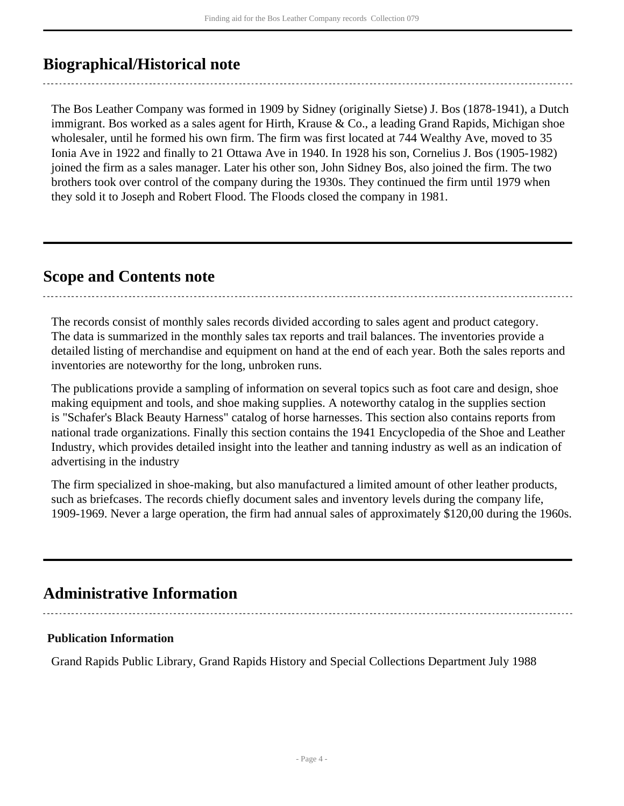## <span id="page-3-0"></span>**Biographical/Historical note**

The Bos Leather Company was formed in 1909 by Sidney (originally Sietse) J. Bos (1878-1941), a Dutch immigrant. Bos worked as a sales agent for Hirth, Krause & Co., a leading Grand Rapids, Michigan shoe wholesaler, until he formed his own firm. The firm was first located at 744 Wealthy Ave, moved to 35 Ionia Ave in 1922 and finally to 21 Ottawa Ave in 1940. In 1928 his son, Cornelius J. Bos (1905-1982) joined the firm as a sales manager. Later his other son, John Sidney Bos, also joined the firm. The two brothers took over control of the company during the 1930s. They continued the firm until 1979 when they sold it to Joseph and Robert Flood. The Floods closed the company in 1981.

## <span id="page-3-1"></span>**Scope and Contents note**

The records consist of monthly sales records divided according to sales agent and product category. The data is summarized in the monthly sales tax reports and trail balances. The inventories provide a detailed listing of merchandise and equipment on hand at the end of each year. Both the sales reports and inventories are noteworthy for the long, unbroken runs.

The publications provide a sampling of information on several topics such as foot care and design, shoe making equipment and tools, and shoe making supplies. A noteworthy catalog in the supplies section is "Schafer's Black Beauty Harness" catalog of horse harnesses. This section also contains reports from national trade organizations. Finally this section contains the 1941 Encyclopedia of the Shoe and Leather Industry, which provides detailed insight into the leather and tanning industry as well as an indication of advertising in the industry

The firm specialized in shoe-making, but also manufactured a limited amount of other leather products, such as briefcases. The records chiefly document sales and inventory levels during the company life, 1909-1969. Never a large operation, the firm had annual sales of approximately \$120,00 during the 1960s.

## <span id="page-3-2"></span>**Administrative Information**

### **Publication Information**

Grand Rapids Public Library, Grand Rapids History and Special Collections Department July 1988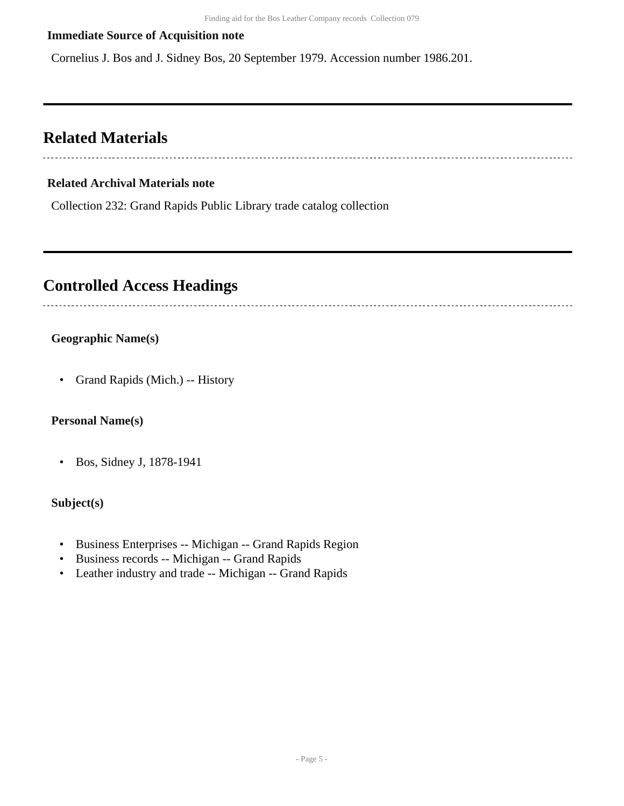### **Immediate Source of Acquisition note**

Cornelius J. Bos and J. Sidney Bos, 20 September 1979. Accession number 1986.201.

## <span id="page-4-0"></span>**Related Materials**

#### **Related Archival Materials note**

Collection 232: Grand Rapids Public Library trade catalog collection

### <span id="page-4-1"></span>**Controlled Access Headings**

### **Geographic Name(s)**

• Grand Rapids (Mich.) -- History

#### **Personal Name(s)**

• Bos, Sidney J, 1878-1941

#### **Subject(s)**

- Business Enterprises -- Michigan -- Grand Rapids Region
- Business records -- Michigan -- Grand Rapids
- Leather industry and trade -- Michigan -- Grand Rapids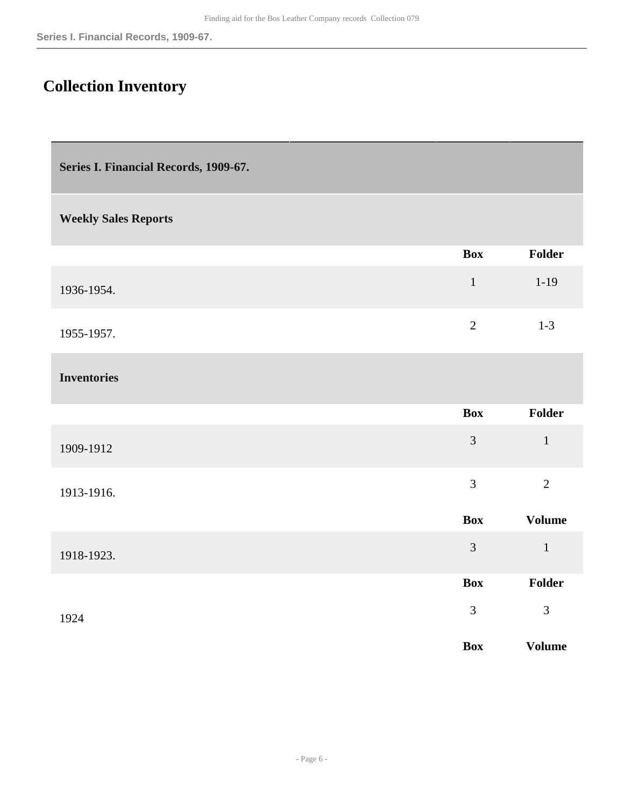## <span id="page-5-0"></span>**Collection Inventory**

<span id="page-5-1"></span>

| Series I. Financial Records, 1909-67. |                |                |
|---------------------------------------|----------------|----------------|
| <b>Weekly Sales Reports</b>           |                |                |
|                                       | <b>Box</b>     | Folder         |
| 1936-1954.                            | $\mathbf 1$    | $1 - 19$       |
| 1955-1957.                            | $\overline{2}$ | $1 - 3$        |
| <b>Inventories</b>                    |                |                |
|                                       | <b>Box</b>     | Folder         |
| 1909-1912                             | $\overline{3}$ | $\mathbf{1}$   |
| 1913-1916.                            | $\overline{3}$ | $\overline{2}$ |
|                                       | <b>Box</b>     | <b>Volume</b>  |
| 1918-1923.                            | $\overline{3}$ | $\mathbf{1}$   |
|                                       | <b>Box</b>     | Folder         |
| 1924                                  | $\mathfrak{Z}$ | $\overline{3}$ |
|                                       | <b>Box</b>     | <b>Volume</b>  |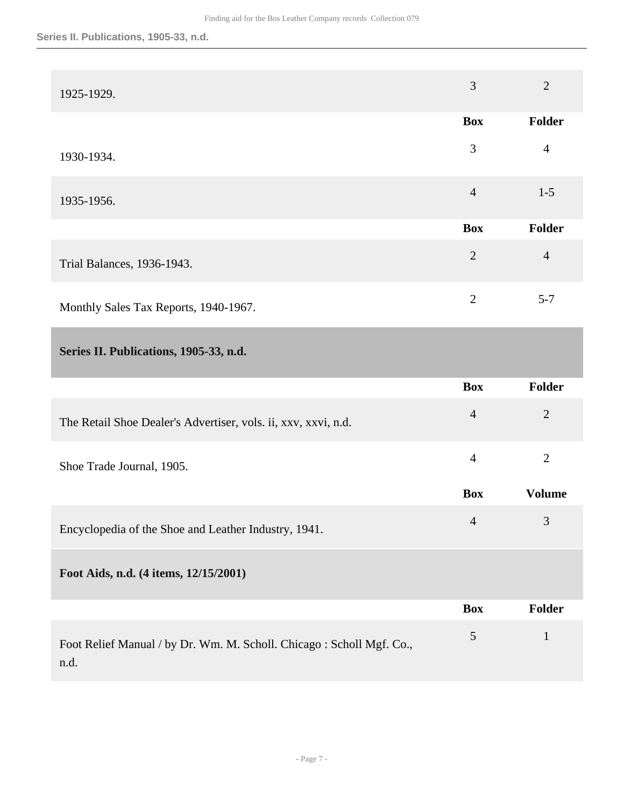<span id="page-6-0"></span>

| 1925-1929.                                                     | 3              | $\overline{2}$ |
|----------------------------------------------------------------|----------------|----------------|
|                                                                | <b>Box</b>     | Folder         |
| 1930-1934.                                                     | 3              | $\overline{4}$ |
| 1935-1956.                                                     | $\overline{4}$ | $1 - 5$        |
|                                                                | <b>Box</b>     | Folder         |
| Trial Balances, 1936-1943.                                     | $\overline{2}$ | $\overline{4}$ |
| Monthly Sales Tax Reports, 1940-1967.                          | $\overline{2}$ | $5 - 7$        |
| Series II. Publications, 1905-33, n.d.                         |                |                |
|                                                                | <b>Box</b>     | Folder         |
| The Retail Shoe Dealer's Advertiser, vols. ii, xxv, xxvi, n.d. | $\overline{4}$ | $\overline{2}$ |
| Shoe Trade Journal, 1905.                                      | $\overline{4}$ | $\overline{2}$ |
|                                                                | <b>Box</b>     | <b>Volume</b>  |
|                                                                | $\overline{4}$ | 3              |
| Encyclopedia of the Shoe and Leather Industry, 1941.           |                |                |
| Foot Aids, n.d. (4 items, 12/15/2001)                          |                |                |
|                                                                | <b>Box</b>     | Folder         |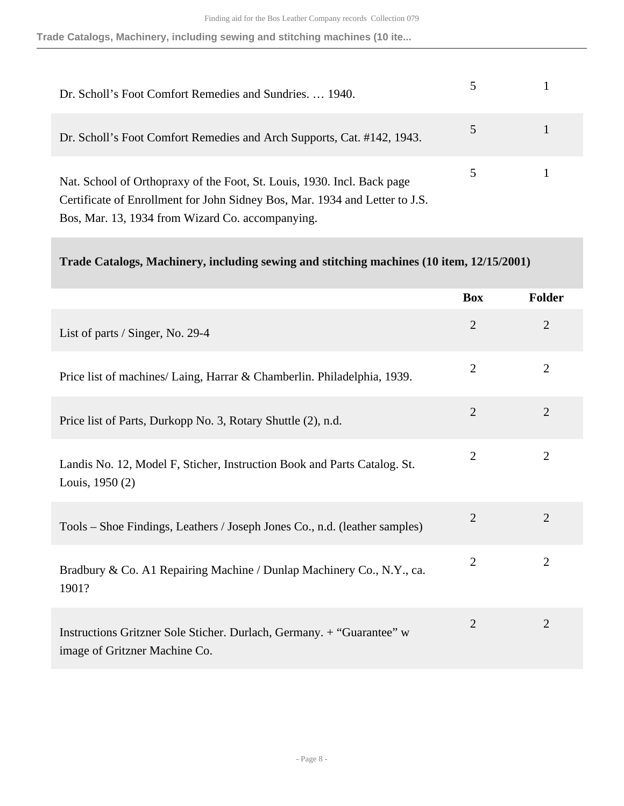**Trade Catalogs, Machinery, including sewing and stitching machines (10 ite...**

| Dr. Scholl's Foot Comfort Remedies and Sundries.  1940.                                                                                                                                                    |  |
|------------------------------------------------------------------------------------------------------------------------------------------------------------------------------------------------------------|--|
| Dr. Scholl's Foot Comfort Remedies and Arch Supports, Cat. #142, 1943.                                                                                                                                     |  |
| Nat. School of Orthopraxy of the Foot, St. Louis, 1930. Incl. Back page<br>Certificate of Enrollment for John Sidney Bos, Mar. 1934 and Letter to J.S.<br>Bos, Mar. 13, 1934 from Wizard Co. accompanying. |  |

**Trade Catalogs, Machinery, including sewing and stitching machines (10 item, 12/15/2001)** 

|                                                                                                        | <b>Box</b>     | Folder         |
|--------------------------------------------------------------------------------------------------------|----------------|----------------|
| List of parts / Singer, No. 29-4                                                                       | $\mathbf{2}$   | $\overline{2}$ |
| Price list of machines/ Laing, Harrar & Chamberlin. Philadelphia, 1939.                                | $\overline{2}$ | $\overline{2}$ |
| Price list of Parts, Durkopp No. 3, Rotary Shuttle (2), n.d.                                           | $\overline{2}$ | $\overline{2}$ |
| Landis No. 12, Model F, Sticher, Instruction Book and Parts Catalog. St.<br>Louis, 1950 (2)            | $\overline{2}$ | $\overline{2}$ |
| Tools – Shoe Findings, Leathers / Joseph Jones Co., n.d. (leather samples)                             | $\mathbf{2}$   | $\overline{2}$ |
| Bradbury & Co. A1 Repairing Machine / Dunlap Machinery Co., N.Y., ca.<br>1901?                         | $\overline{2}$ | $\overline{2}$ |
| Instructions Gritzner Sole Sticher. Durlach, Germany. + "Guarantee" w<br>image of Gritzner Machine Co. | $\overline{2}$ | $\overline{2}$ |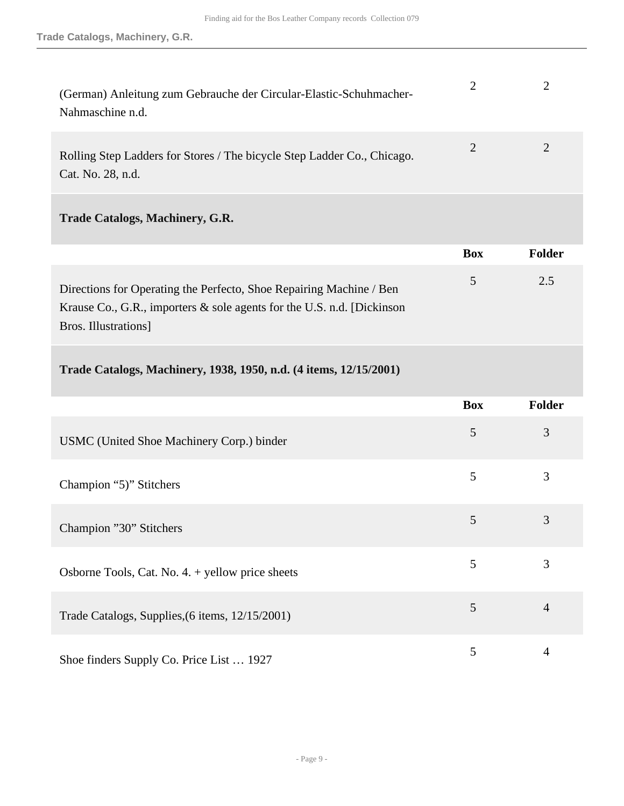| (German) Anleitung zum Gebrauche der Circular-Elastic-Schuhmacher-<br>Nahmaschine n.d.       | 2          | 2              |
|----------------------------------------------------------------------------------------------|------------|----------------|
| Rolling Step Ladders for Stores / The bicycle Step Ladder Co., Chicago.<br>Cat. No. 28, n.d. | 2          | $\overline{2}$ |
| <b>Trade Catalogs, Machinery, G.R.</b>                                                       |            |                |
|                                                                                              | <b>Box</b> | <b>Folder</b>  |

|                                                                            | DUX    | гошег |
|----------------------------------------------------------------------------|--------|-------|
| Directions for Operating the Perfecto, Shoe Repairing Machine / Ben        | $\sim$ | 2.5   |
| Krause Co., G.R., importers $\&$ sole agents for the U.S. n.d. [Dickinson] |        |       |
| Bros. Illustrations                                                        |        |       |

**Trade Catalogs, Machinery, 1938, 1950, n.d. (4 items, 12/15/2001)** 

|                                                    | <b>Box</b> | <b>Folder</b>  |
|----------------------------------------------------|------------|----------------|
| USMC (United Shoe Machinery Corp.) binder          | 5          | 3              |
| Champion "5)" Stitchers                            | 5          | 3              |
| Champion "30" Stitchers                            | 5          | 3              |
| Osborne Tools, Cat. No. $4. +$ yellow price sheets | 5          | 3              |
| Trade Catalogs, Supplies, (6 items, 12/15/2001)    | 5          | $\overline{4}$ |
| Shoe finders Supply Co. Price List  1927           | 5          | 4              |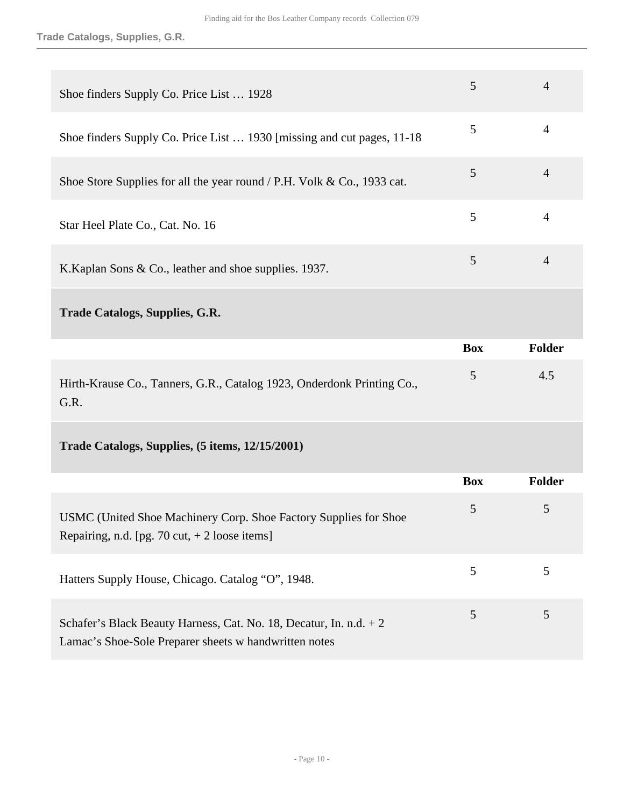| Shoe finders Supply Co. Price List  1928                                                                            | 5          | $\overline{4}$ |
|---------------------------------------------------------------------------------------------------------------------|------------|----------------|
| Shoe finders Supply Co. Price List  1930 [missing and cut pages, 11-18]                                             | 5          | $\overline{4}$ |
| Shoe Store Supplies for all the year round / P.H. Volk & Co., 1933 cat.                                             | 5          | $\overline{4}$ |
| Star Heel Plate Co., Cat. No. 16                                                                                    | 5          | $\overline{4}$ |
| K. Kaplan Sons & Co., leather and shoe supplies. 1937.                                                              | 5          | $\overline{4}$ |
| <b>Trade Catalogs, Supplies, G.R.</b>                                                                               |            |                |
|                                                                                                                     | <b>Box</b> | <b>Folder</b>  |
| Hirth-Krause Co., Tanners, G.R., Catalog 1923, Onderdonk Printing Co.,                                              | 5          | 4.5            |
| G.R.                                                                                                                |            |                |
| Trade Catalogs, Supplies, (5 items, 12/15/2001)                                                                     |            |                |
|                                                                                                                     | <b>Box</b> | Folder         |
| USMC (United Shoe Machinery Corp. Shoe Factory Supplies for Shoe<br>Repairing, n.d. [pg. 70 cut, $+ 2$ loose items] | 5          | 5              |
| Hatters Supply House, Chicago. Catalog "O", 1948.                                                                   | 5          | 5              |